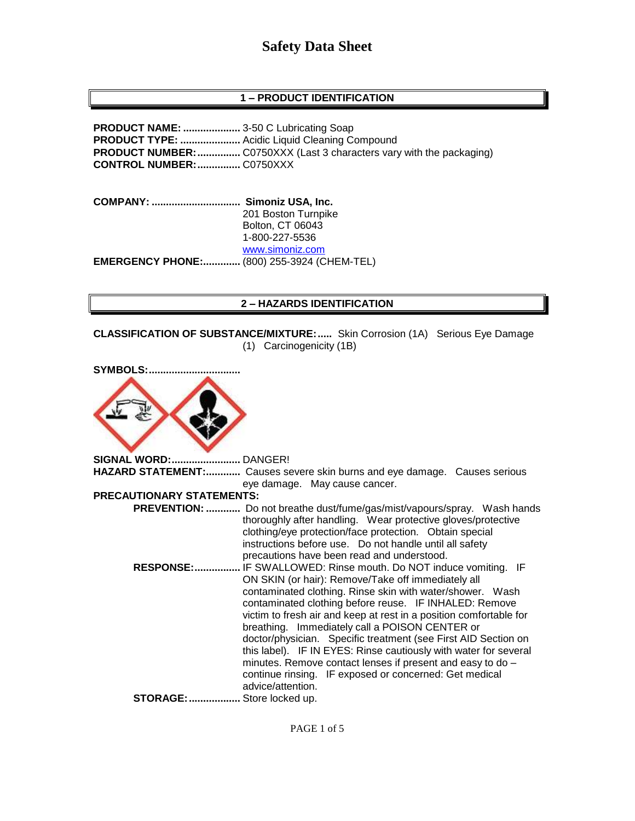## **1 – PRODUCT IDENTIFICATION**

**PRODUCT NAME: ....................** 3-50 C Lubricating Soap **PRODUCT TYPE: .....................** Acidic Liquid Cleaning Compound **PRODUCT NUMBER:**................. C0750XXX (Last 3 characters vary with the packaging) **CONTROL NUMBER:...............** C0750XXX

**COMPANY: ............................... Simoniz USA, Inc.** 201 Boston Turnpike Bolton, CT 06043 1-800-227-5536 [www.simoniz.com](http://www.simoniz.com/) **EMERGENCY PHONE:.............** (800) 255-3924 (CHEM-TEL)

### **2 – HAZARDS IDENTIFICATION**

**CLASSIFICATION OF SUBSTANCE/MIXTURE:.....** Skin Corrosion (1A) Serious Eye Damage (1) Carcinogenicity (1B)

| <b>SYMBOLS:</b>                  |                                                                                                                                                                                                                                                                                                                                                                                                                                                                                                                                                                     |
|----------------------------------|---------------------------------------------------------------------------------------------------------------------------------------------------------------------------------------------------------------------------------------------------------------------------------------------------------------------------------------------------------------------------------------------------------------------------------------------------------------------------------------------------------------------------------------------------------------------|
| <b>SIGNAL WORD: DANGER!</b>      |                                                                                                                                                                                                                                                                                                                                                                                                                                                                                                                                                                     |
|                                  | HAZARD STATEMENT: Causes severe skin burns and eye damage. Causes serious<br>eye damage. May cause cancer.                                                                                                                                                                                                                                                                                                                                                                                                                                                          |
| <b>PRECAUTIONARY STATEMENTS:</b> |                                                                                                                                                                                                                                                                                                                                                                                                                                                                                                                                                                     |
|                                  | <b>PREVENTION: </b> Do not breathe dust/fume/gas/mist/vapours/spray. Wash hands<br>thoroughly after handling. Wear protective gloves/protective<br>clothing/eye protection/face protection. Obtain special<br>instructions before use. Do not handle until all safety<br>precautions have been read and understood.<br>RESPONSE: IF SWALLOWED: Rinse mouth. Do NOT induce vomiting. IF<br>ON SKIN (or hair): Remove/Take off immediately all<br>contaminated clothing. Rinse skin with water/shower. Wash<br>contaminated clothing before reuse. IF INHALED: Remove |
|                                  | victim to fresh air and keep at rest in a position comfortable for<br>breathing. Immediately call a POISON CENTER or<br>doctor/physician. Specific treatment (see First AID Section on<br>this label). IF IN EYES: Rinse cautiously with water for several<br>minutes. Remove contact lenses if present and easy to do -<br>continue rinsing. IF exposed or concerned: Get medical<br>advice/attention.                                                                                                                                                             |
| STORAGE:  Store locked up.       |                                                                                                                                                                                                                                                                                                                                                                                                                                                                                                                                                                     |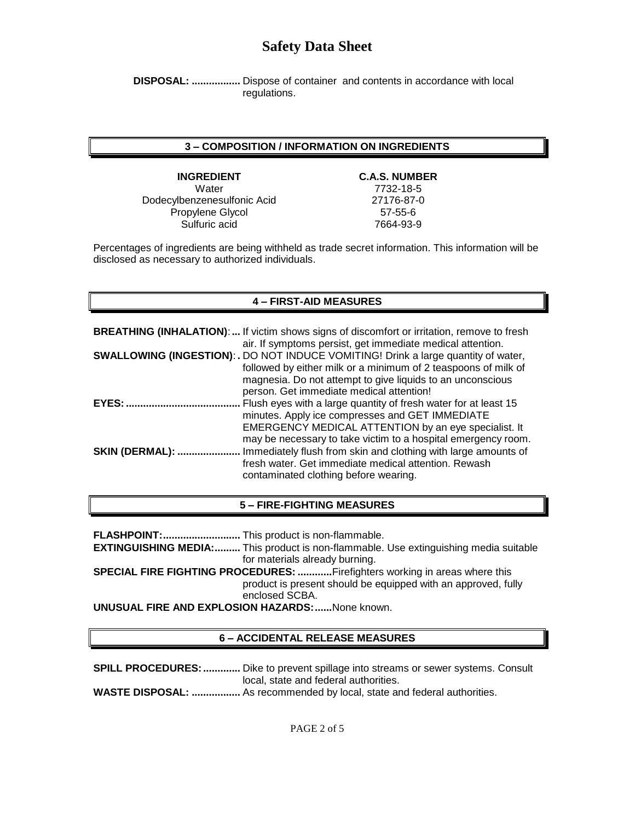**DISPOSAL: .................** Dispose of container and contents in accordance with local regulations.

### **3 – COMPOSITION / INFORMATION ON INGREDIENTS**

**INGREDIENT C.A.S. NUMBER** Water 7732-18-5 Dodecylbenzenesulfonic Acid 27176-87-0 Propylene Glycol 57-55-6 Sulfuric acid 7664-93-9

Percentages of ingredients are being withheld as trade secret information. This information will be disclosed as necessary to authorized individuals.

### **4 – FIRST-AID MEASURES**

|                        | <b>BREATHING (INHALATION):</b> If victim shows signs of discomfort or irritation, remove to fresh<br>air. If symptoms persist, get immediate medical attention.                                                                                                       |
|------------------------|-----------------------------------------------------------------------------------------------------------------------------------------------------------------------------------------------------------------------------------------------------------------------|
|                        | <b>SWALLOWING (INGESTION): .</b> DO NOT INDUCE VOMITING! Drink a large quantity of water,<br>followed by either milk or a minimum of 2 teaspoons of milk of<br>magnesia. Do not attempt to give liquids to an unconscious<br>person. Get immediate medical attention! |
| <b>EYES:</b>           | Flush eyes with a large quantity of fresh water for at least 15<br>minutes. Apply ice compresses and GET IMMEDIATE<br>EMERGENCY MEDICAL ATTENTION by an eye specialist. It<br>may be necessary to take victim to a hospital emergency room.                           |
| <b>SKIN (DERMAL): </b> | Immediately flush from skin and clothing with large amounts of<br>fresh water. Get immediate medical attention. Rewash<br>contaminated clothing before wearing.                                                                                                       |

### **5 – FIRE-FIGHTING MEASURES**

**FLASHPOINT:...........................** This product is non-flammable.

**EXTINGUISHING MEDIA:.........** This product is non-flammable. Use extinguishing media suitable for materials already burning.

**SPECIAL FIRE FIGHTING PROCEDURES: ............**Firefighters working in areas where this product is present should be equipped with an approved, fully enclosed SCBA.

**UNUSUAL FIRE AND EXPLOSION HAZARDS:......**None known.

#### **6 – ACCIDENTAL RELEASE MEASURES**

**SPILL PROCEDURES:.............** Dike to prevent spillage into streams or sewer systems. Consult local, state and federal authorities. **WASTE DISPOSAL: .................** As recommended by local, state and federal authorities.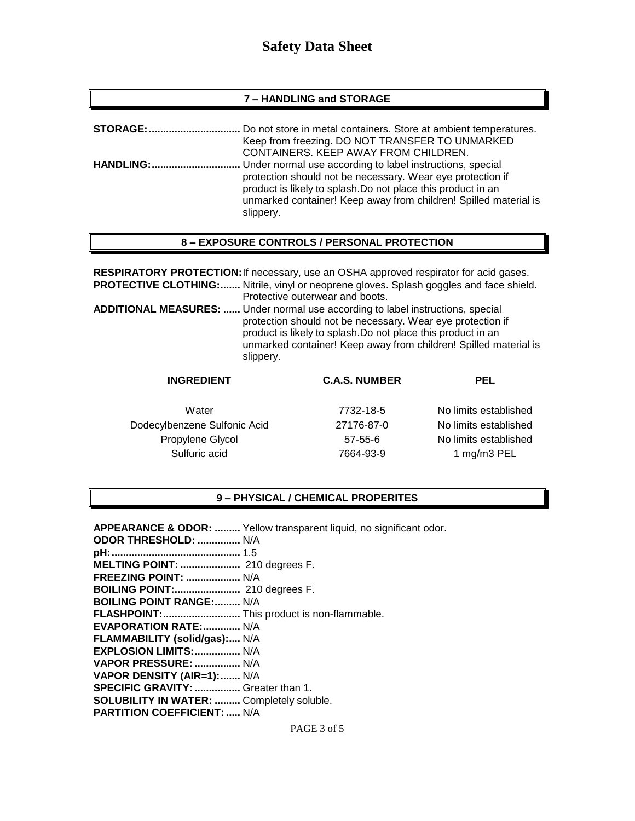### **7 – HANDLING and STORAGE**

| <b>STORAGE:</b>  | Do not store in metal containers. Store at ambient temperatures.                                                                                                                                            |
|------------------|-------------------------------------------------------------------------------------------------------------------------------------------------------------------------------------------------------------|
|                  | Keep from freezing. DO NOT TRANSFER TO UNMARKED<br>CONTAINERS. KEEP AWAY FROM CHILDREN.                                                                                                                     |
| <b>HANDLING:</b> | Under normal use according to label instructions, special                                                                                                                                                   |
|                  | protection should not be necessary. Wear eye protection if<br>product is likely to splash. Do not place this product in an<br>unmarked container! Keep away from children! Spilled material is<br>slippery. |

## **8 – EXPOSURE CONTROLS / PERSONAL PROTECTION**

**RESPIRATORY PROTECTION:**If necessary, use an OSHA approved respirator for acid gases. **PROTECTIVE CLOTHING:.......** Nitrile, vinyl or neoprene gloves. Splash goggles and face shield. Protective outerwear and boots. **ADDITIONAL MEASURES: ......** Under normal use according to label instructions, special protection should not be necessary. Wear eye protection if product is likely to splash.Do not place this product in an unmarked container! Keep away from children! Spilled material is slippery.

| <b>INGREDIENT</b>            | <b>C.A.S. NUMBER</b> | <b>PEL</b>            |
|------------------------------|----------------------|-----------------------|
| Water                        | 7732-18-5            | No limits established |
| Dodecylbenzene Sulfonic Acid | 27176-87-0           | No limits established |
| Propylene Glycol             | $57 - 55 - 6$        | No limits established |
| Sulfuric acid                | 7664-93-9            | 1 mg/m3 PEL           |

### **9 – PHYSICAL / CHEMICAL PROPERITES**

|                                                  | APPEARANCE & ODOR:  Yellow transparent liquid, no significant odor. |
|--------------------------------------------------|---------------------------------------------------------------------|
| <b>ODOR THRESHOLD:  N/A</b>                      |                                                                     |
|                                                  |                                                                     |
|                                                  |                                                                     |
| FREEZING POINT:  N/A                             |                                                                     |
| BOILING POINT: 210 degrees F.                    |                                                                     |
| <b>BOILING POINT RANGE: N/A</b>                  |                                                                     |
| FLASHPOINT: This product is non-flammable.       |                                                                     |
| EVAPORATION RATE:  N/A                           |                                                                     |
| FLAMMABILITY (solid/gas): N/A                    |                                                                     |
| EXPLOSION LIMITS:  N/A                           |                                                                     |
| VAPOR PRESSURE:  N/A                             |                                                                     |
| VAPOR DENSITY (AIR=1): N/A                       |                                                                     |
| SPECIFIC GRAVITY:  Greater than 1.               |                                                                     |
| <b>SOLUBILITY IN WATER:  Completely soluble.</b> |                                                                     |
| <b>PARTITION COEFFICIENT:  N/A</b>               |                                                                     |
|                                                  |                                                                     |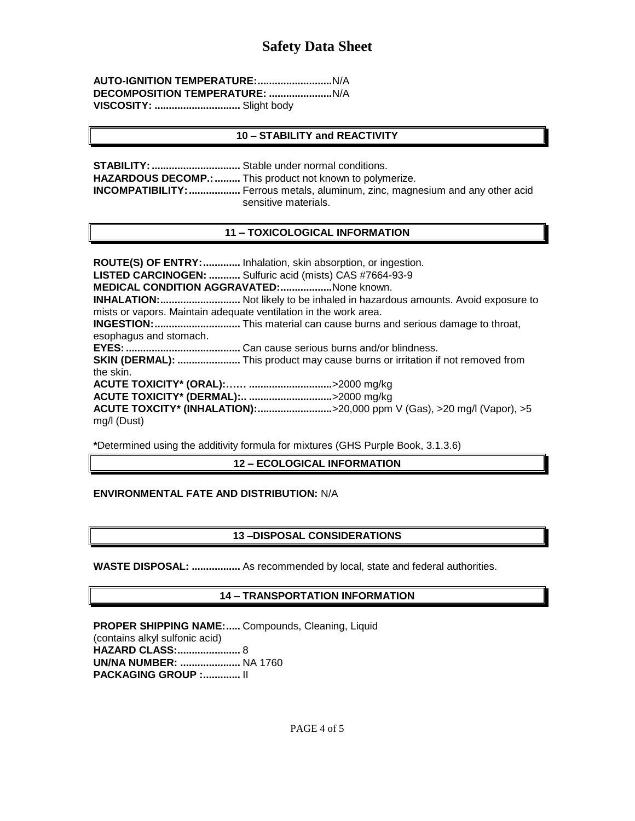| VISCOSITY:  Slight body |  |
|-------------------------|--|

### **10 – STABILITY and REACTIVITY**

**STABILITY:...............................** Stable under normal conditions. HAZARDOUS DECOMP.: .......... This product not known to polymerize. **INCOMPATIBILITY:..................** Ferrous metals, aluminum, zinc, magnesium and any other acid sensitive materials.

### **11 – TOXICOLOGICAL INFORMATION**

**ROUTE(S) OF ENTRY:.............** Inhalation, skin absorption, or ingestion. **LISTED CARCINOGEN: ...........** Sulfuric acid (mists) CAS #7664-93-9 **MEDICAL CONDITION AGGRAVATED:..................**None known. **INHALATION:............................** Not likely to be inhaled in hazardous amounts. Avoid exposure to mists or vapors. Maintain adequate ventilation in the work area. **INGESTION:..............................** This material can cause burns and serious damage to throat, esophagus and stomach. **EYES:........................................** Can cause serious burns and/or blindness. **SKIN (DERMAL): ......................** This product may cause burns or irritation if not removed from the skin. **ACUTE TOXICITY\* (ORAL):…… .............................**>2000 mg/kg **ACUTE TOXICITY\* (DERMAL):.. .............................**>2000 mg/kg **ACUTE TOXCITY\* (INHALATION):..........................**>20,000 ppm V (Gas), >20 mg/l (Vapor), >5 mg/l (Dust)

**\***Determined using the additivity formula for mixtures (GHS Purple Book, 3.1.3.6)

## **12 – ECOLOGICAL INFORMATION**

## **ENVIRONMENTAL FATE AND DISTRIBUTION:** N/A

## **13 –DISPOSAL CONSIDERATIONS**

**WASTE DISPOSAL: .................** As recommended by local, state and federal authorities.

## **14 – TRANSPORTATION INFORMATION**

**PROPER SHIPPING NAME:.....** Compounds, Cleaning, Liquid (contains alkyl sulfonic acid) **HAZARD CLASS:......................** 8 **UN/NA NUMBER: .....................** NA 1760 **PACKAGING GROUP :.............** II